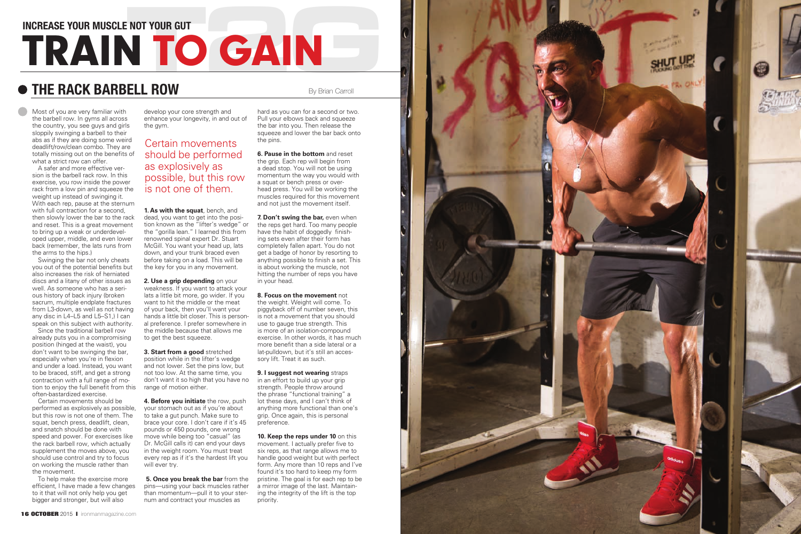### **INCREASE YOUR MUSCLE NOT YOUR GUT**

# **TRAIN TO GAIN**

By Brian Carroll

Most of you are very familiar with the barbell row. In gyms all across the country, you see guys and girls sloppily swinging a barbell to their abs as if they are doing some weird deadlift/row/clean combo. They are totally missing out on the benefits of what a strict row can offer.

A safer and more effective version is the barbell rack row. In this exercise, you row inside the power rack from a low pin and squeeze the weight up instead of swinging it. With each rep, pause at the sternum with full contraction for a second, then slowly lower the bar to the rack and reset. This is a great movement to bring up a weak or underdeveloped upper, middle, and even lower back (remember, the lats runs from the arms to the hips.)

Swinging the bar not only cheats you out of the potential benefits but also increases the risk of herniated discs and a litany of other issues as well. As someone who has a serious history of back injury (broken sacrum, multiple endplate fractures from L3-down, as well as not having any disc in L4–L5 and L5–S1,) I can speak on this subject with authority.

Since the traditional barbell row already puts you in a compromising position (hinged at the waist), you don't want to be swinging the bar, especially when you're in flexion and under a load. Instead, you want to be braced, stiff, and get a strong contraction with a full range of motion to enjoy the full benefit from this range of motion either. often-bastardized exercise.

**2. Use a grip depending** on your weakness. If you want to attack your lats a little bit more, go wider. If you want to hit the middle or the meat of your back, then you'll want your hands a little bit closer. This is personal preference. I prefer somewhere in the middle because that allows me to get the best squeeze.

Certain movements should be performed as explosively as possible, but this row is not one of them. The squat, bench press, deadlift, clean, and snatch should be done with speed and power. For exercises like the rack barbell row, which actually supplement the moves above, you should use control and try to focus on working the muscle rather than the movement.

**6. Pause in the bottom** and reset the grip. Each rep will begin from a dead stop. You will not be using momentum the way you would with a squat or bench press or overhead press. You will be working the muscles required for this movement and not just the movement itself.

To help make the exercise more efficient, I have made a few changes to it that will not only help you get bigger and stronger, but will also

develop your core strength and enhance your longevity, in and out of the gym.

**1. As with the squat**, bench, and dead, you want to get into the position known as the "lifter's wedge" or the "gorilla lean." I learned this from renowned spinal expert Dr. Stuart McGill. You want your head up, lats down, and your trunk braced even before taking on a load. This will be the key for you in any movement.

> **9. I suggest not wearing** straps in an effort to build up your grip strength. People throw around the phrase "functional training" a lot these days, and I can't think of anything more functional than one's grip. Once again, this is personal preference.

**10. Keep the reps under 10** on this movement. I actually prefer five to six reps, as that range allows me to handle good weight but with perfect form. Any more than 10 reps and I've found it's too hard to keep my form pristine. The goal is for each rep to be a mirror image of the last. Maintaining the integrity of the lift is the top priority.





**3. Start from a good** stretched position while in the lifter's wedge and not lower. Set the pins low, but not too low. At the same time, you don't want it so high that you have no

**4. Before you initiate** the row, push your stomach out as if you're about to take a gut punch. Make sure to brace your core. I don't care if it's 45 pounds or 450 pounds, one wrong move while being too "casual" (as Dr. McGill calls it) can end your days in the weight room. You must treat every rep as if it's the hardest lift you will ever try.

**5. Once you break the bar** from the pins—using your back muscles rather than momentum—pull it to your sternum and contract your muscles as

# **The Rack Barbell Row**

hard as you can for a second or two. Pull your elbows back and squeeze the bar into you. Then release the squeeze and lower the bar back onto the pins.

**7. Don't swing the bar,** even when the reps get hard. Too many people have the habit of doggedly finishing sets even after their form has completely fallen apart. You do not get a badge of honor by resorting to anything possible to finish a set. This is about working the muscle, not hitting the number of reps you have in your head.

**8. Focus on the movement** not

the weight. Weight will come. To piggyback off of number seven, this is not a movement that you should use to gauge true strength. This is more of an isolation-compound exercise. In other words, it has much more benefit than a side lateral or a lat-pulldown, but it's still an accessory lift. Treat it as such.

Certain movements should be performed as explosively as possible, but this row is not one of them.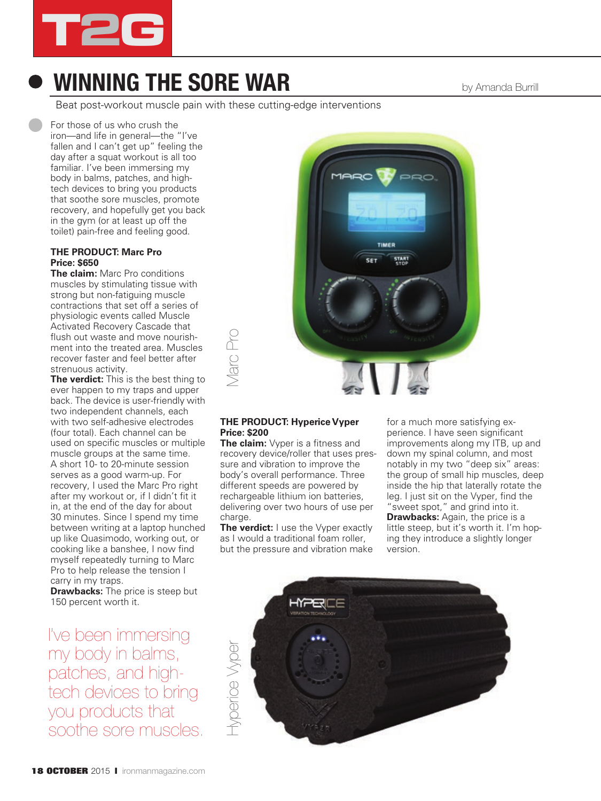

## **WINNING THE SORE WAR** by Amanda Burrill

Beat post-workout muscle pain with these cutting-edge interventions

For those of us who crush the iron—and life in general—the "I've fallen and I can't get up" feeling the day after a squat workout is all too familiar. I've been immersing my body in balms, patches, and hightech devices to bring you products that soothe sore muscles, promote recovery, and hopefully get you back in the gym (or at least up off the toilet) pain-free and feeling good.

#### **THE PRODUCT: Marc Pro Price: \$650**

**The claim:** Marc Pro conditions muscles by stimulating tissue with strong but non-fatiguing muscle contractions that set off a series of physiologic events called Muscle Activated Recovery Cascade that flush out waste and move nourishment into the treated area. Muscles recover faster and feel better after strenuous activity.

**The verdict:** This is the best thing to ever happen to my traps and upper back. The device is user-friendly with two independent channels, each with two self-adhesive electrodes (four total). Each channel can be used on specific muscles or multiple muscle groups at the same time. A short 10- to 20-minute session serves as a good warm-up. For recovery, I used the Marc Pro right after my workout or, if I didn't fit it in, at the end of the day for about 30 minutes. Since I spend my time between writing at a laptop hunched up like Quasimodo, working out, or cooking like a banshee, I now find myself repeatedly turning to Marc Pro to help release the tension I carry in my traps.

**Drawbacks:** The price is steep but 150 percent worth it.

I've been immersing my body in balms, patches, and hightech devices to bring you products that soothe sore muscles.



#### **THE PRODUCT: Hyperice Vyper Price: \$200**

**The claim:** Vyper is a fitness and recovery device/roller that uses pressure and vibration to improve the body's overall performance. Three different speeds are powered by rechargeable lithium ion batteries, delivering over two hours of use per charge.

**The verdict:** I use the Vyper exactly as I would a traditional foam roller, but the pressure and vibration make for a much more satisfying experience. I have seen significant improvements along my ITB, up and down my spinal column, and most notably in my two "deep six" areas: the group of small hip muscles, deep inside the hip that laterally rotate the leg. I just sit on the Vyper, find the "sweet spot," and grind into it. **Drawbacks:** Again, the price is a little steep, but it's worth it. I'm hoping they introduce a slightly longer version.